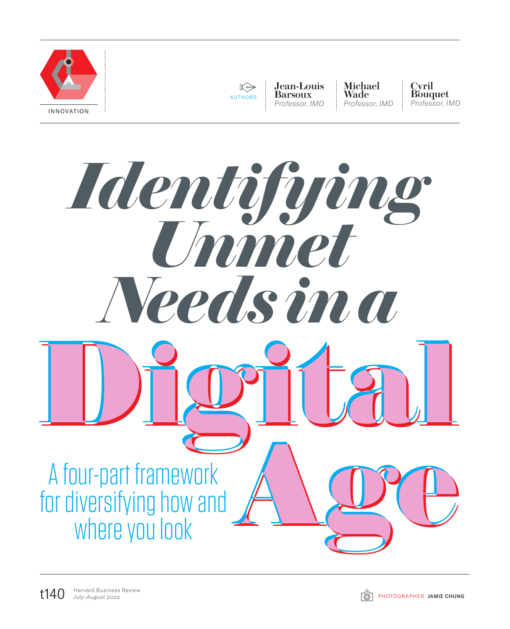



Jean-Louis Barsoux *Professor, IMD*

Michael Wade *Professor, IMD* Cyril Bouquet *Professor, IMD*



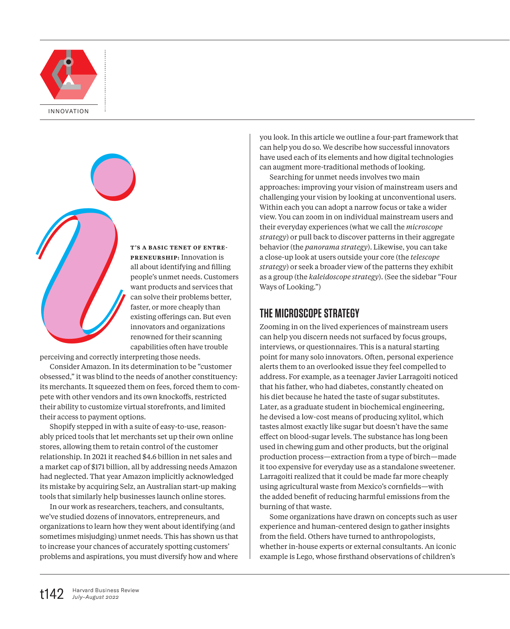

**T'S A BASIC TENET OF ENTRE-PRENEURSHIP:** Innovation is all about identifying and filling people's unmet needs. Customers want products and services that can solve their problems better, faster, or more cheaply than existing offerings can. But even innovators and organizations renowned for their scanning capabilities often have trouble

perceiving and correctly interpreting those needs.

Consider Amazon. In its determination to be "customer obsessed," it was blind to the needs of another constituency: its merchants. It squeezed them on fees, forced them to compete with other vendors and its own knockoffs, restricted their ability to customize virtual storefronts, and limited their access to payment options. **i**<br>**perceiving and correctly interactional contract of the consider Amazon. In its obsessed," it was blind to the its merchants. It squeezed t** 

Shopify stepped in with a suite of easy-to-use, reasonably priced tools that let merchants set up their own online stores, allowing them to retain control of the customer relationship. In 2021 it reached \$4.6 billion in net sales and a market cap of \$171 billion, all by addressing needs Amazon had neglected. That year Amazon implicitly acknowledged its mistake by acquiring Selz, an Australian start-up making tools that similarly help businesses launch online stores.

In our work as researchers, teachers, and consultants, we've studied dozens of innovators, entrepreneurs, and organizations to learn how they went about identifying (and sometimes misjudging) unmet needs. This has shown us that to increase your chances of accurately spotting customers' problems and aspirations, you must diversify how and where

you look. In this article we outline a four-part framework that can help you do so. We describe how successful innovators have used each of its elements and how digital technologies can augment more-traditional methods of looking.

Searching for unmet needs involves two main approaches: improving your vision of mainstream users and challenging your vision by looking at unconventional users. Within each you can adopt a narrow focus or take a wider view. You can zoom in on individual mainstream users and their everyday experiences (what we call the *microscope strategy*) or pull back to discover patterns in their aggregate behavior (the *panorama strategy*). Likewise, you can take a close-up look at users outside your core (the *telescope strategy*) or seek a broader view of the patterns they exhibit as a group (the *kaleidoscope strategy*). (See the sidebar "Four Ways of Looking.")

### **THE MICROSCOPE STRATEGY**

Zooming in on the lived experiences of mainstream users can help you discern needs not surfaced by focus groups, interviews, or questionnaires. This is a natural starting point for many solo innovators. Often, personal experience alerts them to an overlooked issue they feel compelled to address. For example, as a teenager Javier Larragoiti noticed that his father, who had diabetes, constantly cheated on his diet because he hated the taste of sugar substitutes. Later, as a graduate student in biochemical engineering, he devised a low-cost means of producing xylitol, which tastes almost exactly like sugar but doesn't have the same effect on blood-sugar levels. The substance has long been used in chewing gum and other products, but the original production process—extraction from a type of birch—made it too expensive for everyday use as a standalone sweetener. Larragoiti realized that it could be made far more cheaply using agricultural waste from Mexico's cornfields—with the added benefit of reducing harmful emissions from the burning of that waste.

Some organizations have drawn on concepts such as user experience and human-centered design to gather insights from the field. Others have turned to anthropologists, whether in-house experts or external consultants. An iconic example is Lego, whose firsthand observations of children's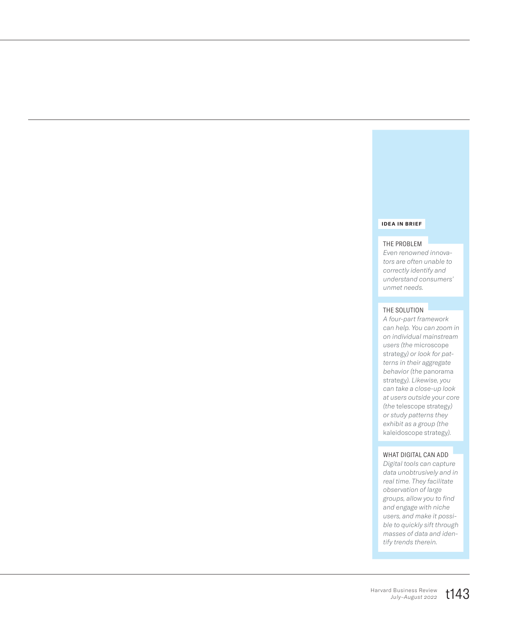#### **IDEA IN BRIEF**

### THE PROBLEM

*Even renowned innovators are often unable to correctly identify and understand consumers' unmet needs.*

### THE SOLUTION

*A four-part framework can help. You can zoom in on individual mainstream users (the* microscope strategy*) or look for patterns in their aggregate behavior (the* panorama strategy*). Likewise, you can take a close-up look at users outside your core (the* telescope strategy*) or study patterns they exhibit as a group (the*  kaleidoscope strategy*).*

#### WHAT DIGITAL CAN ADD

*Digital tools can capture data unobtrusively and in real time. They facilitate observation of large groups, allow you to find and engage with niche users, and make it possible to quickly sift through masses of data and identify trends therein.*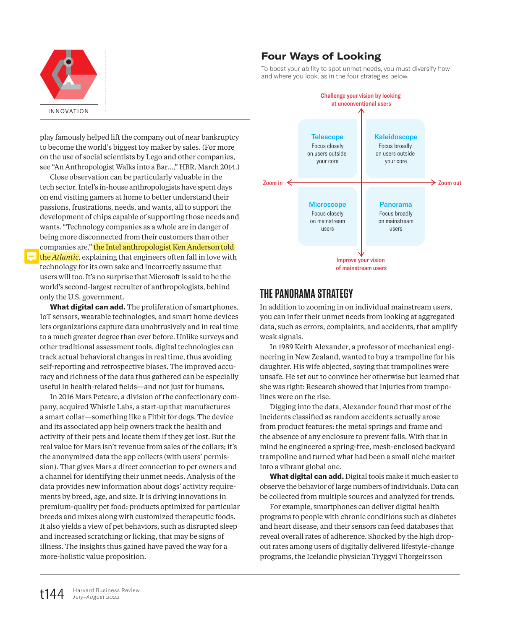

play famously helped lift the company out of near bankruptcy to become the world's biggest toy maker by sales. (For more on the use of social scientists by Lego and other companies, see "An Anthropologist Walks into a Bar…," HBR, March 2014.)

Close observation can be particularly valuable in the tech sector. Intel's in-house anthropologists have spent days on end visiting gamers at home to better understand their passions, frustrations, needs, and wants, all to support the development of chips capable of supporting those needs and wants. "Technology companies as a whole are in danger of being more disconnected from their customers than other companies are," the Intel anthropologist Ken Anderson told the *Atlantic,* explaining that engineers often fall in love with technology for its own sake and incorrectly assume that users will too. It's no surprise that Microsoft is said to be the world's second-largest recruiter of anthropologists, behind only the U.S. government.

**What digital can add.** The proliferation of smartphones, IoT sensors, wearable technologies, and smart home devices lets organizations capture data unobtrusively and in real time to a much greater degree than ever before. Unlike surveys and other traditional assessment tools, digital technologies can track actual behavioral changes in real time, thus avoiding self-reporting and retrospective biases. The improved accuracy and richness of the data thus gathered can be especially useful in health-related fields—and not just for humans.

In 2016 Mars Petcare, a division of the confectionary company, acquired Whistle Labs, a start-up that manufactures a smart collar—something like a Fitbit for dogs. The device and its associated app help owners track the health and activity of their pets and locate them if they get lost. But the real value for Mars isn't revenue from sales of the collars; it's the anonymized data the app collects (with users' permission). That gives Mars a direct connection to pet owners and a channel for identifying their unmet needs. Analysis of the data provides new information about dogs' activity requirements by breed, age, and size. It is driving innovations in premium-quality pet food: products optimized for particular breeds and mixes along with customized therapeutic foods. It also yields a view of pet behaviors, such as disrupted sleep and increased scratching or licking, that may be signs of illness. The insights thus gained have paved the way for a more-holistic value proposition.

### Four Ways of Looking

To boost your ability to spot unmet needs, you must diversify how and where you look, as in the four strategies below.



## **THE PANORAMA STRATEGY**

In addition to zooming in on individual mainstream users, you can infer their unmet needs from looking at aggregated data, such as errors, complaints, and accidents, that amplify weak signals.

In 1989 Keith Alexander, a professor of mechanical engineering in New Zealand, wanted to buy a trampoline for his daughter. His wife objected, saying that trampolines were unsafe. He set out to convince her otherwise but learned that she was right: Research showed that injuries from trampolines were on the rise.

Digging into the data, Alexander found that most of the incidents classified as random accidents actually arose from product features: the metal springs and frame and the absence of any enclosure to prevent falls. With that in mind he engineered a spring-free, mesh-enclosed backyard trampoline and turned what had been a small niche market into a vibrant global one.

**What digital can add.** Digital tools make it much easier to observe the behavior of large numbers of individuals. Data can be collected from multiple sources and analyzed for trends.

For example, smartphones can deliver digital health programs to people with chronic conditions such as diabetes and heart disease, and their sensors can feed databases that reveal overall rates of adherence. Shocked by the high dropout rates among users of digitally delivered lifestyle-change programs, the Icelandic physician Tryggvi Thorgeirsson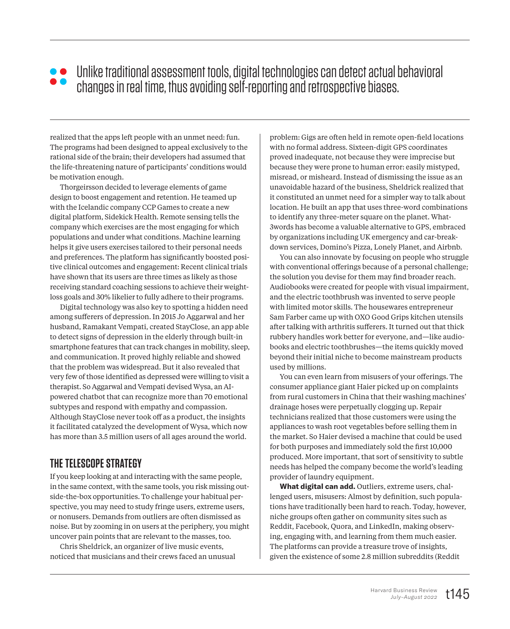# Unlike traditional assessment tools, digital technologies can detect actual behavioral changes in real time, thus avoiding self-reporting and retrospective biases.

realized that the apps left people with an unmet need: fun. The programs had been designed to appeal exclusively to the rational side of the brain; their developers had assumed that the life-threatening nature of participants' conditions would be motivation enough.

Thorgeirsson decided to leverage elements of game design to boost engagement and retention. He teamed up with the Icelandic company CCP Games to create a new digital platform, Sidekick Health. Remote sensing tells the company which exercises are the most engaging for which populations and under what conditions. Machine learning helps it give users exercises tailored to their personal needs and preferences. The platform has significantly boosted positive clinical outcomes and engagement: Recent clinical trials have shown that its users are three times as likely as those receiving standard coaching sessions to achieve their weightloss goals and 30% likelier to fully adhere to their programs.

Digital technology was also key to spotting a hidden need among sufferers of depression. In 2015 Jo Aggarwal and her husband, Ramakant Vempati, created StayClose, an app able to detect signs of depression in the elderly through built-in smartphone features that can track changes in mobility, sleep, and communication. It proved highly reliable and showed that the problem was widespread. But it also revealed that very few of those identified as depressed were willing to visit a therapist. So Aggarwal and Vempati devised Wysa, an AIpowered chatbot that can recognize more than 70 emotional subtypes and respond with empathy and compassion. Although StayClose never took off as a product, the insights it facilitated catalyzed the development of Wysa, which now has more than 3.5 million users of all ages around the world.

# **THE TELESCOPE STRATEGY**

If you keep looking at and interacting with the same people, in the same context, with the same tools, you risk missing outside-the-box opportunities. To challenge your habitual perspective, you may need to study fringe users, extreme users, or nonusers. Demands from outliers are often dismissed as noise. But by zooming in on users at the periphery, you might uncover pain points that are relevant to the masses, too.

Chris Sheldrick, an organizer of live music events, noticed that musicians and their crews faced an unusual problem: Gigs are often held in remote open-field locations with no formal address. Sixteen-digit GPS coordinates proved inadequate, not because they were imprecise but because they were prone to human error: easily mistyped, misread, or misheard. Instead of dismissing the issue as an unavoidable hazard of the business, Sheldrick realized that it constituted an unmet need for a simpler way to talk about location. He built an app that uses three-word combinations to identify any three-meter square on the planet. What-3words has become a valuable alternative to GPS, embraced by organizations including UK emergency and car-breakdown services, Domino's Pizza, Lonely Planet, and Airbnb.

You can also innovate by focusing on people who struggle with conventional offerings because of a personal challenge; the solution you devise for them may find broader reach. Audiobooks were created for people with visual impairment, and the electric toothbrush was invented to serve people with limited motor skills. The housewares entrepreneur Sam Farber came up with OXO Good Grips kitchen utensils after talking with arthritis sufferers. It turned out that thick rubbery handles work better for everyone, and—like audiobooks and electric toothbrushes—the items quickly moved beyond their initial niche to become mainstream products used by millions.

You can even learn from misusers of your offerings. The consumer appliance giant Haier picked up on complaints from rural customers in China that their washing machines' drainage hoses were perpetually clogging up. Repair technicians realized that those customers were using the appliances to wash root vegetables before selling them in the market. So Haier devised a machine that could be used for both purposes and immediately sold the first 10,000 produced. More important, that sort of sensitivity to subtle needs has helped the company become the world's leading provider of laundry equipment.

**What digital can add.** Outliers, extreme users, challenged users, misusers: Almost by definition, such populations have traditionally been hard to reach. Today, however, niche groups often gather on community sites such as Reddit, Facebook, Quora, and LinkedIn, making observing, engaging with, and learning from them much easier. The platforms can provide a treasure trove of insights, given the existence of some 2.8 million subreddits (Reddit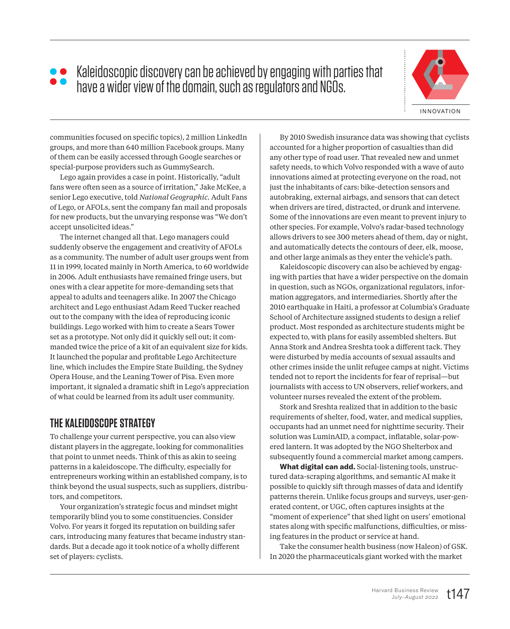# Kaleidoscopic discovery can be achieved by engaging with parties that have a wider view of the domain, such as regulators and NGOs.



communities focused on specific topics), 2 million LinkedIn groups, and more than 640 million Facebook groups. Many of them can be easily accessed through Google searches or special-purpose providers such as GummySearch.

Lego again provides a case in point. Historically, "adult fans were often seen as a source of irritation," Jake McKee, a senior Lego executive, told *National Geographic.* Adult Fans of Lego, or AFOLs, sent the company fan mail and proposals for new products, but the unvarying response was "We don't accept unsolicited ideas."

The internet changed all that. Lego managers could suddenly observe the engagement and creativity of AFOLs as a community. The number of adult user groups went from 11 in 1999, located mainly in North America, to 60 worldwide in 2006. Adult enthusiasts have remained fringe users, but ones with a clear appetite for more-demanding sets that appeal to adults and teenagers alike. In 2007 the Chicago architect and Lego enthusiast Adam Reed Tucker reached out to the company with the idea of reproducing iconic buildings. Lego worked with him to create a Sears Tower set as a prototype. Not only did it quickly sell out; it commanded twice the price of a kit of an equivalent size for kids. It launched the popular and profitable Lego Architecture line, which includes the Empire State Building, the Sydney Opera House, and the Leaning Tower of Pisa. Even more important, it signaled a dramatic shift in Lego's appreciation of what could be learned from its adult user community.

## **THE KALEIDOSCOPE STRATEGY**

To challenge your current perspective, you can also view distant players in the aggregate, looking for commonalities that point to unmet needs. Think of this as akin to seeing patterns in a kaleidoscope. The difficulty, especially for entrepreneurs working within an established company, is to think beyond the usual suspects, such as suppliers, distributors, and competitors.

Your organization's strategic focus and mindset might temporarily blind you to some constituencies. Consider Volvo. For years it forged its reputation on building safer cars, introducing many features that became industry standards. But a decade ago it took notice of a wholly different set of players: cyclists.

By 2010 Swedish insurance data was showing that cyclists accounted for a higher proportion of casualties than did any other type of road user. That revealed new and unmet safety needs, to which Volvo responded with a wave of auto innovations aimed at protecting everyone on the road, not just the inhabitants of cars: bike-detection sensors and autobraking, external airbags, and sensors that can detect when drivers are tired, distracted, or drunk and intervene. Some of the innovations are even meant to prevent injury to other species. For example, Volvo's radar-based technology allows drivers to see 300 meters ahead of them, day or night, and automatically detects the contours of deer, elk, moose, and other large animals as they enter the vehicle's path.

Kaleidoscopic discovery can also be achieved by engaging with parties that have a wider perspective on the domain in question, such as NGOs, organizational regulators, information aggregators, and intermediaries. Shortly after the 2010 earthquake in Haiti, a professor at Columbia's Graduate School of Architecture assigned students to design a relief product. Most responded as architecture students might be expected to, with plans for easily assembled shelters. But Anna Stork and Andrea Sreshta took a different tack. They were disturbed by media accounts of sexual assaults and other crimes inside the unlit refugee camps at night. Victims tended not to report the incidents for fear of reprisal—but journalists with access to UN observers, relief workers, and volunteer nurses revealed the extent of the problem.

Stork and Sreshta realized that in addition to the basic requirements of shelter, food, water, and medical supplies, occupants had an unmet need for nighttime security. Their solution was LuminAID, a compact, inflatable, solar-powered lantern. It was adopted by the NGO Shelterbox and subsequently found a commercial market among campers.

**What digital can add.** Social-listening tools, unstructured data-scraping algorithms, and semantic AI make it possible to quickly sift through masses of data and identify patterns therein. Unlike focus groups and surveys, user-generated content, or UGC, often captures insights at the "moment of experience" that shed light on users' emotional states along with specific malfunctions, difficulties, or missing features in the product or service at hand.

Take the consumer health business (now Haleon) of GSK. In 2020 the pharmaceuticals giant worked with the market